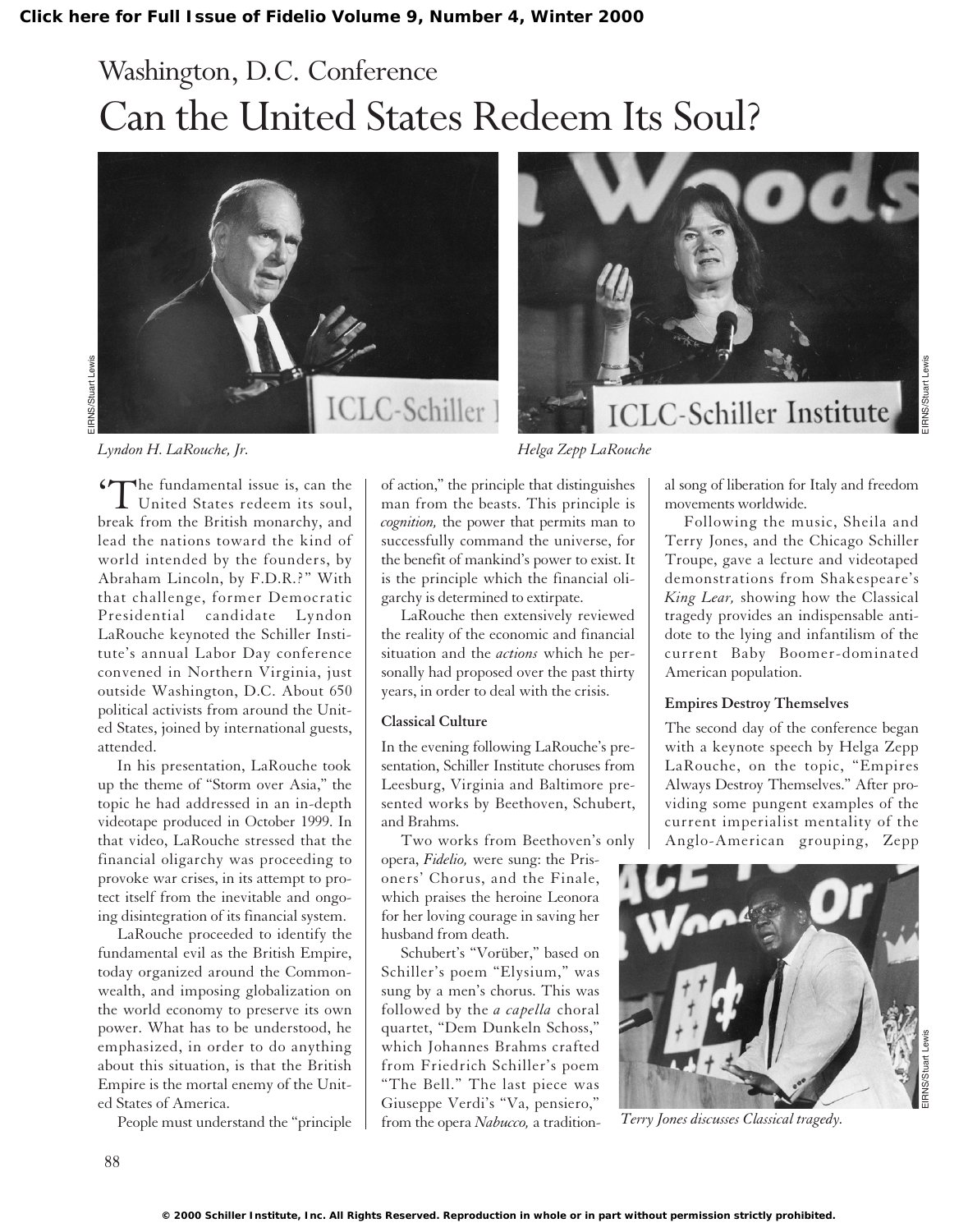# Washington, D.C. Conference Can the United States Redeem Its Soul?





*Lyndon H. LaRouche, Jr. Helga Zepp LaRouche*

'The fundamental issue is, can the United States redeem its soul, break from the British monarchy, and lead the nations toward the kind of world intended by the founders, by Abraham Lincoln, by F.D.R.?" With that challenge, former Democratic Presidential candidate Lyndon LaRouche keynoted the Schiller Institute's annual Labor Day conference convened in Northern Virginia, just outside Washington, D.C. About 650 political activists from around the United States, joined by international guests, attended.

In his presentation, LaRouche took up the theme of "Storm over Asia," the topic he had addressed in an in-depth videotape produced in October 1999. In that video, LaRouche stressed that the financial oligarchy was proceeding to provoke war crises, in its attempt to protect itself from the inevitable and ongoing disintegration of its financial system.

LaRouche proceeded to identify the fundamental evil as the British Empire, today organized around the Commonwealth, and imposing globalization on the world economy to preserve its own power. What has to be understood, he emphasized, in order to do anything about this situation, is that the British Empire is the mortal enemy of the United States of America.

People must understand the "principle

of action," the principle that distinguishes man from the beasts. This principle is *cognition,* the power that permits man to successfully command the universe, for the benefit of mankind's power to exist. It is the principle which the financial oligarchy is determined to extirpate.

LaRouche then extensively reviewed the reality of the economic and financial situation and the *actions* which he personally had proposed over the past thirty years, in order to deal with the crisis.

#### **Classical Culture**

In the evening following LaRouche's presentation, Schiller Institute choruses from Leesburg, Virginia and Baltimore presented works by Beethoven, Schubert, and Brahms.

Two works from Beethoven's only opera, *Fidelio,* were sung: the Prisoners' Chorus, and the Finale, which praises the heroine Leonora for her loving courage in saving her husband from death.

Schubert's "Vorüber," based on Schiller's poem "Elysium," was sung by a men's chorus. This was followed by the *a capella* choral quartet, "Dem Dunkeln Schoss," which Johannes Brahms crafted from Friedrich Schiller's poem "The Bell." The last piece was Giuseppe Verdi's "Va, pensiero," from the opera *Nabucco,* a tradition-

al song of liberation for Italy and freedom movements worldwide.

**ICLC-Schiller Institute** 

Following the music, Sheila and Terry Jones, and the Chicago Schiller Troupe, gave a lecture and videotaped demonstrations from Shakespeare's *King Lear,* showing how the Classical tragedy provides an indispensable antidote to the lying and infantilism of the current Baby Boomer-dominated American population.

### **Empires Destroy Themselves**

The second day of the conference began with a keynote speech by Helga Zepp LaRouche, on the topic, "Empires Always Destroy Themselves." After providing some pungent examples of the current imperialist mentality of the Anglo-American grouping, Zepp



*Terry Jones discusses Classical tragedy.*